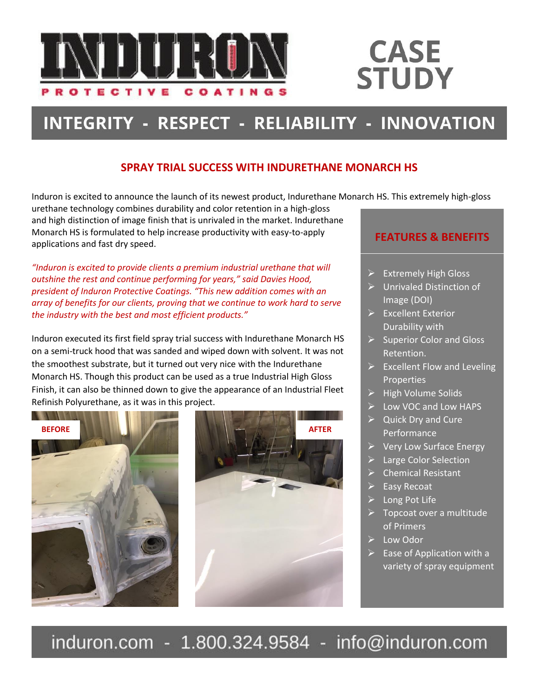

## **CASE STUDY**

### INTEGRITY - RESPECT - RELIABILITY - INNOVATION

#### **SPRAY TRIAL SUCCESS WITH INDURETHANE MONARCH HS**

Induron is excited to announce the launch of its newest product, Indurethane Monarch HS. This extremely high-gloss

urethane technology combines durability and color retention in a high-gloss and high distinction of image finish that is unrivaled in the market. Indurethane Monarch HS is formulated to help increase productivity with easy-to-apply applications and fast dry speed.

*"Induron is excited to provide clients a premium industrial urethane that will outshine the rest and continue performing for years," said Davies Hood, president of Induron Protective Coatings. "This new addition comes with an array of benefits for our clients, proving that we continue to work hard to serve the industry with the best and most efficient products."*

Induron executed its first field spray trial success with Indurethane Monarch HS on a semi-truck hood that was sanded and wiped down with solvent. It was not the smoothest substrate, but it turned out very nice with the Indurethane Monarch HS. Though this product can be used as a true Industrial High Gloss Finish, it can also be thinned down to give the appearance of an Industrial Fleet Refinish Polyurethane, as it was in this project.





### **FEATURES & BENEFITS**

- $\triangleright$  Extremely High Gloss
- ➢ Unrivaled Distinction of Image (DOI)
- ➢ Excellent Exterior Durability with
- $\triangleright$  Superior Color and Gloss Retention.
- $\triangleright$  Excellent Flow and Leveling **Properties**
- $\triangleright$  High Volume Solids
- ➢ Low VOC and Low HAPS
- $\triangleright$  Quick Dry and Cure Performance
- ➢ Very Low Surface Energy
- Large Color Selection
- ➢ Chemical Resistant
- $\triangleright$  Easy Recoat
- ➢ Long Pot Life
- $\triangleright$  Topcoat over a multitude of Primers
- ➢ Low Odor
- $\triangleright$  Ease of Application with a variety of spray equipment

induron.com - 1.800.324.9584 info@induron.com